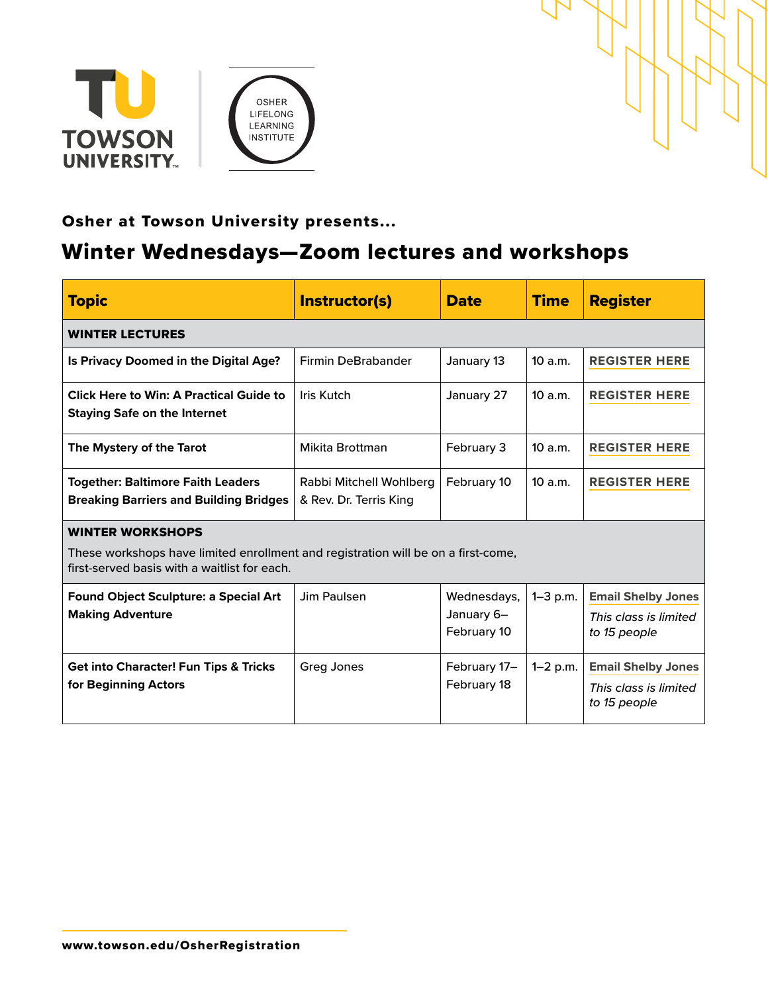



# Osher at Towson University presents...

# Winter Wednesdays—Zoom lectures and workshops

| <b>Topic</b>                                                                                                                                                 | <b>Instructor(s)</b>                              | <b>Date</b>                              | <b>Time</b>  | <b>Register</b>                                                    |
|--------------------------------------------------------------------------------------------------------------------------------------------------------------|---------------------------------------------------|------------------------------------------|--------------|--------------------------------------------------------------------|
| <b>WINTER LECTURES</b>                                                                                                                                       |                                                   |                                          |              |                                                                    |
| Is Privacy Doomed in the Digital Age?                                                                                                                        | <b>Firmin DeBrabander</b>                         | January 13                               | 10a.m.       | <b>REGISTER HERE</b>                                               |
| <b>Click Here to Win: A Practical Guide to</b><br><b>Staying Safe on the Internet</b>                                                                        | Iris Kutch                                        | January 27                               | 10a.m.       | <b>REGISTER HERE</b>                                               |
| The Mystery of the Tarot                                                                                                                                     | Mikita Brottman                                   | February 3                               | 10a.m.       | <b>REGISTER HERE</b>                                               |
| <b>Together: Baltimore Faith Leaders</b><br><b>Breaking Barriers and Building Bridges</b>                                                                    | Rabbi Mitchell Wohlberg<br>& Rev. Dr. Terris King | February 10                              | 10 a.m.      | <b>REGISTER HERE</b>                                               |
| <b>WINTER WORKSHOPS</b><br>These workshops have limited enrollment and registration will be on a first-come,<br>first-served basis with a waitlist for each. |                                                   |                                          |              |                                                                    |
| <b>Found Object Sculpture: a Special Art</b><br><b>Making Adventure</b>                                                                                      | Jim Paulsen                                       | Wednesdays,<br>January 6-<br>February 10 | $1 - 3$ p.m. | <b>Email Shelby Jones</b><br>This class is limited<br>to 15 people |
| <b>Get into Character! Fun Tips &amp; Tricks</b><br>for Beginning Actors                                                                                     | Greg Jones                                        | February 17-<br>February 18              | $1 - 2 p.m.$ | <b>Email Shelby Jones</b><br>This class is limited<br>to 15 people |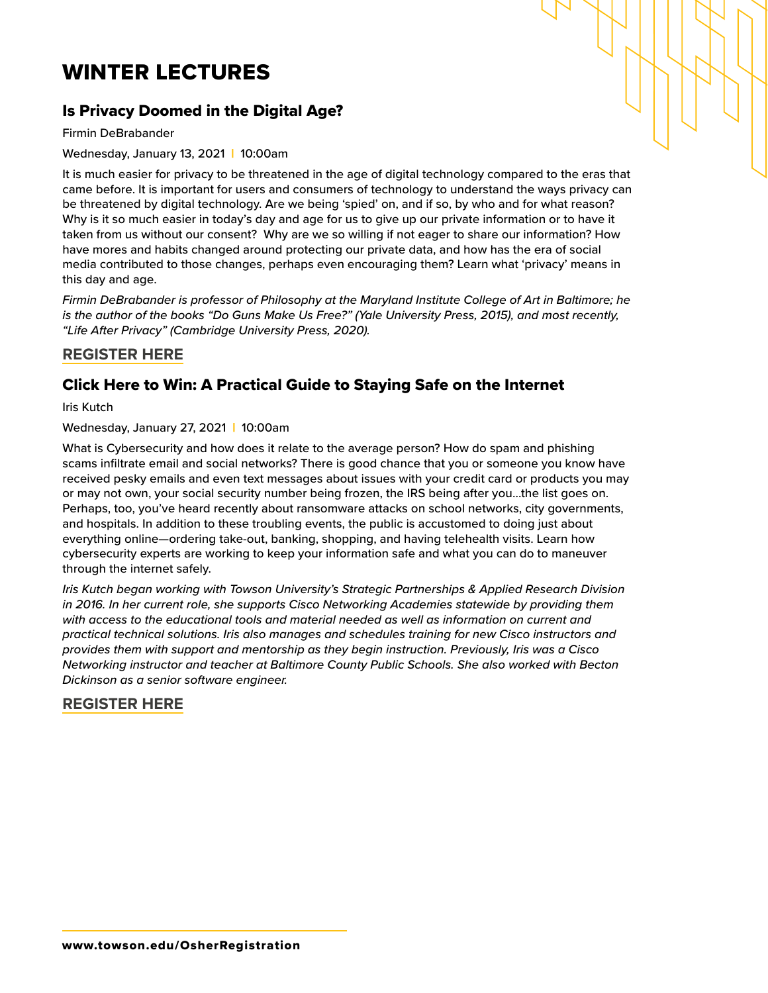# WINTER LECTURES

# Is Privacy Doomed in the Digital Age?

Firmin DeBrabander

Wednesday, January 13, 2021 | 10:00am

It is much easier for privacy to be threatened in the age of digital technology compared to the eras that came before. It is important for users and consumers of technology to understand the ways privacy can be threatened by digital technology. Are we being 'spied' on, and if so, by who and for what reason? Why is it so much easier in today's day and age for us to give up our private information or to have it taken from us without our consent? Why are we so willing if not eager to share our information? How have mores and habits changed around protecting our private data, and how has the era of social media contributed to those changes, perhaps even encouraging them? Learn what 'privacy' means in this day and age.

*Firmin DeBrabander is professor of Philosophy at the Maryland Institute College of Art in Baltimore; he is the author of the books "Do Guns Make Us Free?" (Yale University Press, 2015), and most recently, "Life After Privacy" (Cambridge University Press, 2020).* 

#### **[REGISTER HERE](https://us02web.zoom.us/webinar/register/WN_BsQC_PwNTye0djggDtJiwQ)**

### Click Here to Win: A Practical Guide to Staying Safe on the Internet

Iris Kutch

Wednesday, January 27, 2021 | 10:00am

What is Cybersecurity and how does it relate to the average person? How do spam and phishing scams infiltrate email and social networks? There is good chance that you or someone you know have received pesky emails and even text messages about issues with your credit card or products you may or may not own, your social security number being frozen, the IRS being after you...the list goes on. Perhaps, too, you've heard recently about ransomware attacks on school networks, city governments, and hospitals. In addition to these troubling events, the public is accustomed to doing just about everything online—ordering take-out, banking, shopping, and having telehealth visits. Learn how cybersecurity experts are working to keep your information safe and what you can do to maneuver through the internet safely.

*Iris Kutch began working with Towson University's Strategic Partnerships & Applied Research Division*  in 2016. In her current role, she supports Cisco Networking Academies statewide by providing them *with access to the educational tools and material needed as well as information on current and practical technical solutions. Iris also manages and schedules training for new Cisco instructors and provides them with support and mentorship as they begin instruction. Previously, Iris was a Cisco Networking instructor and teacher at Baltimore County Public Schools. She also worked with Becton Dickinson as a senior software engineer.*

#### **[REGISTER HERE](https://us02web.zoom.us/webinar/register/WN_-gIX862SSLaBs7DVtvMQzA)**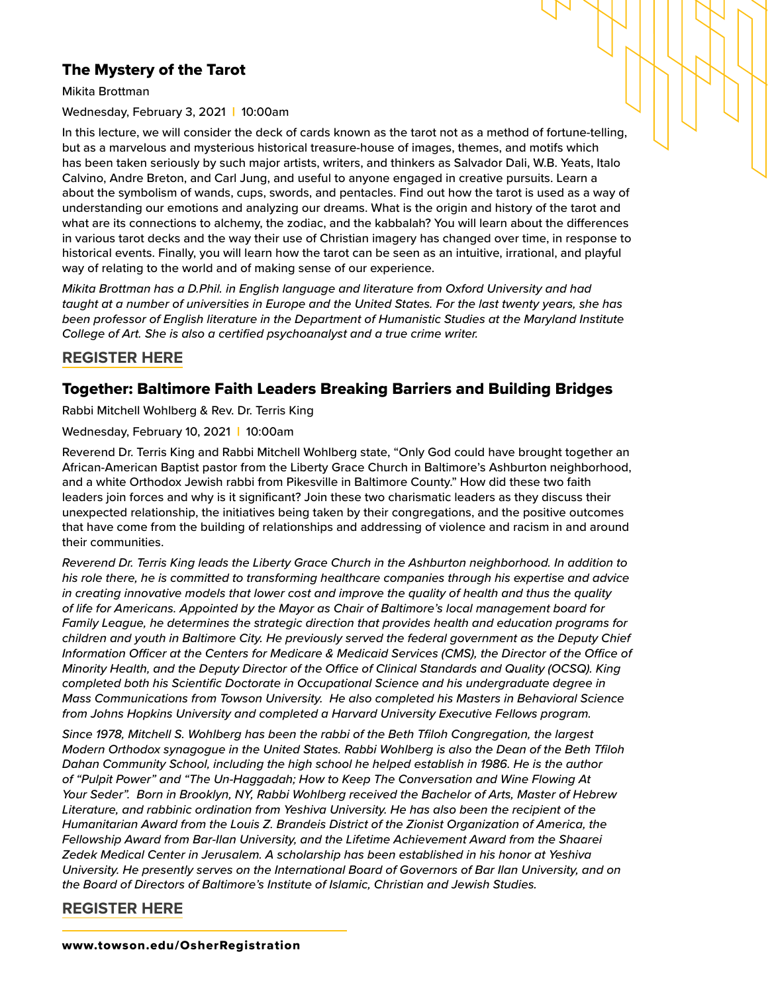# The Mystery of the Tarot

Mikita Brottman

Wednesday, February 3, 2021 | 10:00am

In this lecture, we will consider the deck of cards known as the tarot not as a method of fortune-telling, but as a marvelous and mysterious historical treasure-house of images, themes, and motifs which has been taken seriously by such major artists, writers, and thinkers as Salvador Dali, W.B. Yeats, Italo Calvino, Andre Breton, and Carl Jung, and useful to anyone engaged in creative pursuits. Learn a about the symbolism of wands, cups, swords, and pentacles. Find out how the tarot is used as a way of understanding our emotions and analyzing our dreams. What is the origin and history of the tarot and what are its connections to alchemy, the zodiac, and the kabbalah? You will learn about the differences in various tarot decks and the way their use of Christian imagery has changed over time, in response to historical events. Finally, you will learn how the tarot can be seen as an intuitive, irrational, and playful way of relating to the world and of making sense of our experience.

*Mikita Brottman has a D.Phil. in English language and literature from Oxford University and had taught at a number of universities in Europe and the United States. For the last twenty years, she has been professor of English literature in the Department of Humanistic Studies at the Maryland Institute College of Art. She is also a certified psychoanalyst and a true crime writer.* 

#### **[REGISTER HERE](https://us02web.zoom.us/webinar/register/WN__7dD_SBnSOaRK5DsrwthDg)**

#### Together: Baltimore Faith Leaders Breaking Barriers and Building Bridges

Rabbi Mitchell Wohlberg & Rev. Dr. Terris King

Wednesday, February 10, 2021 | 10:00am

Reverend Dr. Terris King and Rabbi Mitchell Wohlberg state, "Only God could have brought together an African-American Baptist pastor from the Liberty Grace Church in Baltimore's Ashburton neighborhood, and a white Orthodox Jewish rabbi from Pikesville in Baltimore County." How did these two faith leaders join forces and why is it significant? Join these two charismatic leaders as they discuss their unexpected relationship, the initiatives being taken by their congregations, and the positive outcomes that have come from the building of relationships and addressing of violence and racism in and around their communities.

*Reverend Dr. Terris King leads the Liberty Grace Church in the Ashburton neighborhood. In addition to his role there, he is committed to transforming healthcare companies through his expertise and advice in creating innovative models that lower cost and improve the quality of health and thus the quality of life for Americans. Appointed by the Mayor as Chair of Baltimore's local management board for Family League, he determines the strategic direction that provides health and education programs for children and youth in Baltimore City. He previously served the federal government as the Deputy Chief Information Officer at the Centers for Medicare & Medicaid Services (CMS), the Director of the Office of Minority Health, and the Deputy Director of the Office of Clinical Standards and Quality (OCSQ). King completed both his Scientific Doctorate in Occupational Science and his undergraduate degree in Mass Communications from Towson University. He also completed his Masters in Behavioral Science from Johns Hopkins University and completed a Harvard University Executive Fellows program.* 

*Since 1978, Mitchell S. Wohlberg has been the rabbi of the Beth Tfiloh Congregation, the largest Modern Orthodox synagogue in the United States. Rabbi Wohlberg is also the Dean of the Beth Tfiloh Dahan Community School, including the high school he helped establish in 1986. He is the author of "Pulpit Power" and "The Un-Haggadah; How to Keep The Conversation and Wine Flowing At Your Seder". Born in Brooklyn, NY, Rabbi Wohlberg received the Bachelor of Arts, Master of Hebrew Literature, and rabbinic ordination from Yeshiva University. He has also been the recipient of the Humanitarian Award from the Louis Z. Brandeis District of the Zionist Organization of America, the Fellowship Award from Bar-Ilan University, and the Lifetime Achievement Award from the Shaarei Zedek Medical Center in Jerusalem. A scholarship has been established in his honor at Yeshiva University. He presently serves on the International Board of Governors of Bar Ilan University, and on the Board of Directors of Baltimore's Institute of Islamic, Christian and Jewish Studies.* 

#### **[REGISTER HERE](https://us02web.zoom.us/webinar/register/WN_8Vjn2enWRrCmTdeQo4wcAw)**